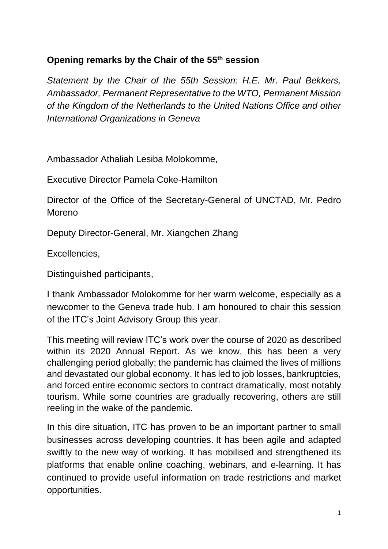## **Opening remarks by the Chair of the 55 th session**

*Statement by the Chair of the 55th Session: H.E. Mr. Paul Bekkers, Ambassador, Permanent Representative to the WTO, Permanent Mission of the Kingdom of the Netherlands to the United Nations Office and other International Organizations in Geneva*

Ambassador Athaliah Lesiba Molokomme,

Executive Director Pamela Coke-Hamilton

Director of the Office of the Secretary-General of UNCTAD, Mr. Pedro Moreno

Deputy Director-General, Mr. Xiangchen Zhang

Excellencies,

Distinguished participants,

I thank Ambassador Molokomme for her warm welcome, especially as a newcomer to the Geneva trade hub. I am honoured to chair this session of the ITC's Joint Advisory Group this year.

This meeting will review ITC's work over the course of 2020 as described within its 2020 Annual Report. As we know, this has been a very challenging period globally; the pandemic has claimed the lives of millions and devastated our global economy. It has led to job losses, bankruptcies, and forced entire economic sectors to contract dramatically, most notably tourism. While some countries are gradually recovering, others are still reeling in the wake of the pandemic.

In this dire situation, ITC has proven to be an important partner to small businesses across developing countries. It has been agile and adapted swiftly to the new way of working. It has mobilised and strengthened its platforms that enable online coaching, webinars, and e-learning. It has continued to provide useful information on trade restrictions and market opportunities.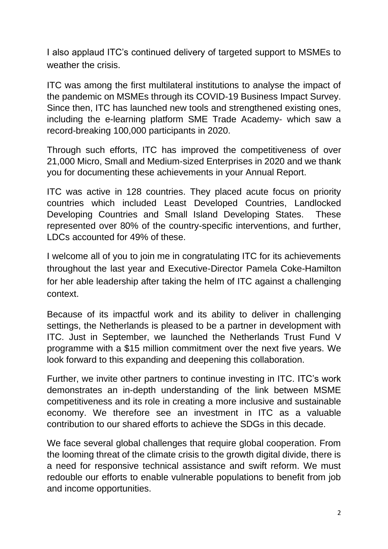I also applaud ITC's continued delivery of targeted support to MSMEs to weather the crisis.

ITC was among the first multilateral institutions to analyse the impact of the pandemic on MSMEs through its COVID-19 Business Impact Survey. Since then, ITC has launched new tools and strengthened existing ones, including the e-learning platform SME Trade Academy- which saw a record-breaking 100,000 participants in 2020.

Through such efforts, ITC has improved the competitiveness of over 21,000 Micro, Small and Medium-sized Enterprises in 2020 and we thank you for documenting these achievements in your Annual Report.

ITC was active in 128 countries. They placed acute focus on priority countries which included Least Developed Countries, Landlocked Developing Countries and Small Island Developing States. These represented over 80% of the country-specific interventions, and further, LDCs accounted for 49% of these.

I welcome all of you to join me in congratulating ITC for its achievements throughout the last year and Executive-Director Pamela Coke-Hamilton for her able leadership after taking the helm of ITC against a challenging context.

Because of its impactful work and its ability to deliver in challenging settings, the Netherlands is pleased to be a partner in development with ITC. Just in September, we launched the Netherlands Trust Fund V programme with a \$15 million commitment over the next five years. We look forward to this expanding and deepening this collaboration.

Further, we invite other partners to continue investing in ITC. ITC's work demonstrates an in-depth understanding of the link between MSME competitiveness and its role in creating a more inclusive and sustainable economy. We therefore see an investment in ITC as a valuable contribution to our shared efforts to achieve the SDGs in this decade.

We face several global challenges that require global cooperation. From the looming threat of the climate crisis to the growth digital divide, there is a need for responsive technical assistance and swift reform. We must redouble our efforts to enable vulnerable populations to benefit from job and income opportunities.